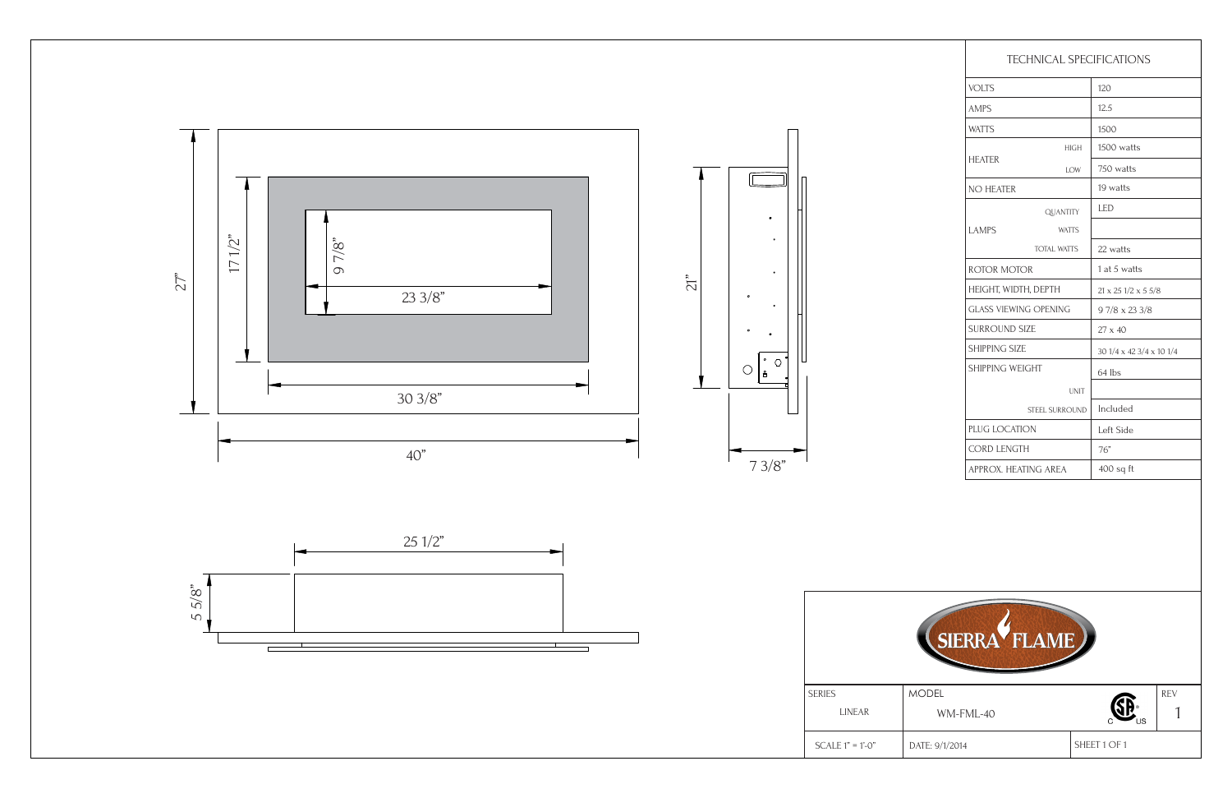| <b>TECHNICAL SPECIFICATIONS</b> |                    |                                     |  |
|---------------------------------|--------------------|-------------------------------------|--|
| <b>VOLTS</b>                    |                    | 120                                 |  |
| <b>AMPS</b>                     |                    | 12.5                                |  |
| <b>WATTS</b>                    |                    | 1500                                |  |
| <b>HEATER</b>                   | <b>HIGH</b>        | 1500 watts                          |  |
|                                 | LOW                | 750 watts                           |  |
| NO HEATER                       |                    | 19 watts                            |  |
| <b>LAMPS</b>                    | <b>QUANTITY</b>    | <b>LED</b>                          |  |
|                                 | <b>WATTS</b>       |                                     |  |
|                                 | <b>TOTAL WATTS</b> | 22 watts                            |  |
| <b>ROTOR MOTOR</b>              |                    | 1 at 5 watts                        |  |
| HEIGHT, WIDTH, DEPTH            |                    | $21 \times 25$ $1/2 \times 5$ $5/8$ |  |
| <b>GLASS VIEWING OPENING</b>    |                    | $97/8 \times 233/8$                 |  |
| <b>SURROUND SIZE</b>            |                    | 27 x 40                             |  |
| <b>SHIPPING SIZE</b>            |                    | 30 1/4 x 42 3/4 x 10 1/4            |  |
| SHIPPING WEIGHT                 |                    | 64 lbs                              |  |
| <b>UNIT</b>                     |                    |                                     |  |
| STEEL SURROUND                  |                    | Included                            |  |
| PLUG LOCATION                   |                    | Left Side                           |  |
| <b>CORD LENGTH</b>              |                    | 76"                                 |  |
| APPROX. HEATING AREA            |                    | $400$ sq ft                         |  |



SHEET 1 OF 1 1 SERIES LINEAR MODEL WM-FML-40  $\begin{bmatrix} \text{SEREV} \\ \text{WM-FML-40} \end{bmatrix}$ <sup>REV</sup> DATE: 9/1/2014 WM-FML-40

LINEAR

SCALE 1" = 1'-0"